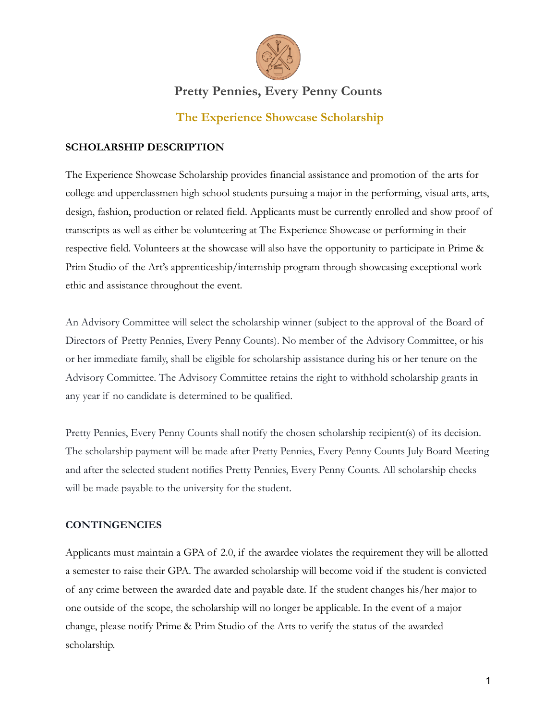

### **The Experience Showcase Scholarship**

#### **SCHOLARSHIP DESCRIPTION**

The Experience Showcase Scholarship provides financial assistance and promotion of the arts for college and upperclassmen high school students pursuing a major in the performing, visual arts, arts, design, fashion, production or related field. Applicants must be currently enrolled and show proof of transcripts as well as either be volunteering at The Experience Showcase or performing in their respective field. Volunteers at the showcase will also have the opportunity to participate in Prime & Prim Studio of the Art's apprenticeship/internship program through showcasing exceptional work ethic and assistance throughout the event.

An Advisory Committee will select the scholarship winner (subject to the approval of the Board of Directors of Pretty Pennies, Every Penny Counts). No member of the Advisory Committee, or his or her immediate family, shall be eligible for scholarship assistance during his or her tenure on the Advisory Committee. The Advisory Committee retains the right to withhold scholarship grants in any year if no candidate is determined to be qualified.

Pretty Pennies, Every Penny Counts shall notify the chosen scholarship recipient(s) of its decision. The scholarship payment will be made after Pretty Pennies, Every Penny Counts July Board Meeting and after the selected student notifies Pretty Pennies, Every Penny Counts. All scholarship checks will be made payable to the university for the student.

#### **CONTINGENCIES**

Applicants must maintain a GPA of 2.0, if the awardee violates the requirement they will be allotted a semester to raise their GPA. The awarded scholarship will become void if the student is convicted of any crime between the awarded date and payable date. If the student changes his/her major to one outside of the scope, the scholarship will no longer be applicable. In the event of a major change, please notify Prime & Prim Studio of the Arts to verify the status of the awarded scholarship.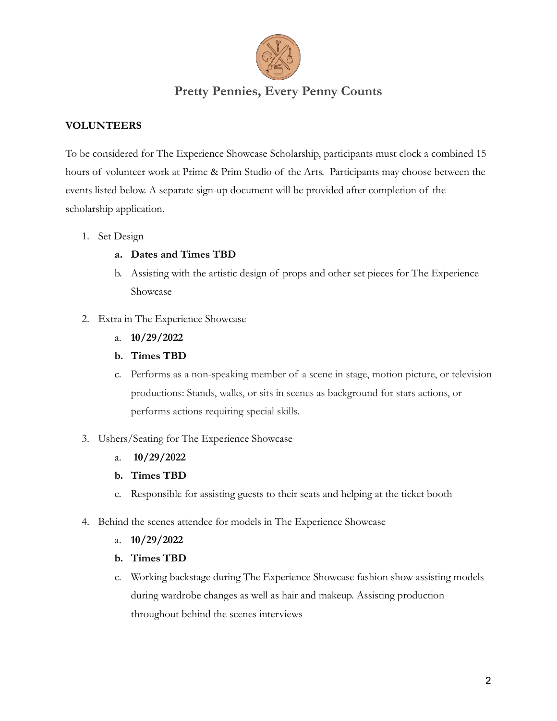

### **VOLUNTEERS**

To be considered for The Experience Showcase Scholarship, participants must clock a combined 15 hours of volunteer work at Prime & Prim Studio of the Arts. Participants may choose between the events listed below. A separate sign-up document will be provided after completion of the scholarship application.

- 1. Set Design
	- **a. Dates and Times TBD**
	- b. Assisting with the artistic design of props and other set pieces for The Experience Showcase
- 2. Extra in The Experience Showcase
	- a. **10/29/2022**
	- **b. Times TBD**
	- c. Performs as a non-speaking member of a scene in stage, motion picture, or television productions: Stands, walks, or sits in scenes as background for stars actions, or performs actions requiring special skills.
- 3. Ushers/Seating for The Experience Showcase
	- a. **10/29/2022**
	- **b. Times TBD**
	- c. Responsible for assisting guests to their seats and helping at the ticket booth
- 4. Behind the scenes attendee for models in The Experience Showcase
	- a. **10/29/2022**
	- **b. Times TBD**
	- c. Working backstage during The Experience Showcase fashion show assisting models during wardrobe changes as well as hair and makeup. Assisting production throughout behind the scenes interviews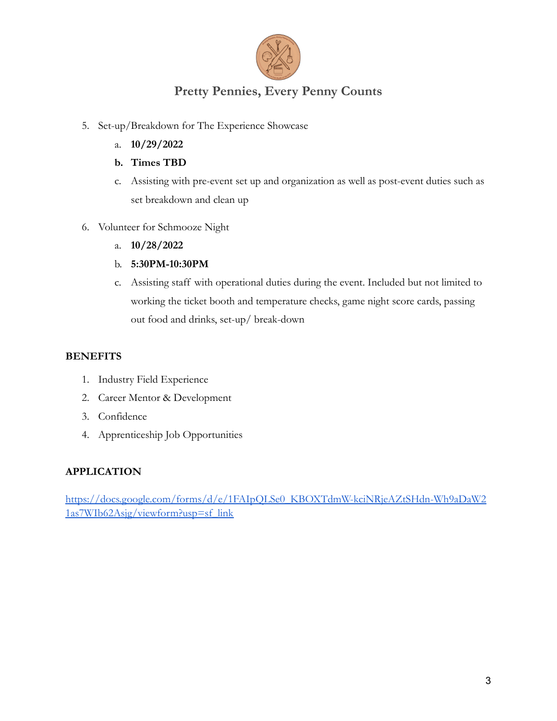

- 5. Set-up/Breakdown for The Experience Showcase
	- a. **10/29/2022**
	- **b. Times TBD**
	- c. Assisting with pre-event set up and organization as well as post-event duties such as set breakdown and clean up
- 6. Volunteer for Schmooze Night
	- a. **10/28/2022**
	- b. **5:30PM-10:30PM**
	- c. Assisting staff with operational duties during the event. Included but not limited to working the ticket booth and temperature checks, game night score cards, passing out food and drinks, set-up/ break-down

#### **BENEFITS**

- 1. Industry Field Experience
- 2. Career Mentor & Development
- 3. Confidence
- 4. Apprenticeship Job Opportunities

#### **APPLICATION**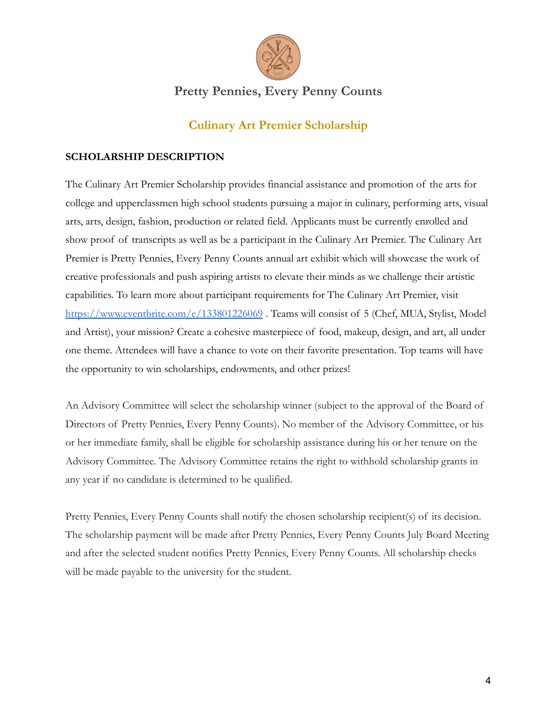

## **Culinary Art Premier Scholarship**

#### **SCHOLARSHIP DESCRIPTION**

The Culinary Art Premier Scholarship provides financial assistance and promotion of the arts for college and upperclassmen high school students pursuing a major in culinary, performing arts, visual arts, arts, design, fashion, production or related field. Applicants must be currently enrolled and show proof of transcripts as well as be a participant in the Culinary Art Premier. The Culinary Art Premier is Pretty Pennies, Every Penny Counts annual art exhibit which will showcase the work of creative professionals and push aspiring artists to elevate their minds as we challenge their artistic capabilities. To learn more about participant requirements for The Culinary Art Premier, visit <https://www.eventbrite.com/e/133801226069>. Teams will consist of 5 (Chef, MUA, Stylist, Model and Artist), your mission? Create a cohesive masterpiece of food, makeup, design, and art, all under one theme. Attendees will have a chance to vote on their favorite presentation. Top teams will have the opportunity to win scholarships, endowments, and other prizes!

An Advisory Committee will select the scholarship winner (subject to the approval of the Board of Directors of Pretty Pennies, Every Penny Counts). No member of the Advisory Committee, or his or her immediate family, shall be eligible for scholarship assistance during his or her tenure on the Advisory Committee. The Advisory Committee retains the right to withhold scholarship grants in any year if no candidate is determined to be qualified.

Pretty Pennies, Every Penny Counts shall notify the chosen scholarship recipient(s) of its decision. The scholarship payment will be made after Pretty Pennies, Every Penny Counts July Board Meeting and after the selected student notifies Pretty Pennies, Every Penny Counts. All scholarship checks will be made payable to the university for the student.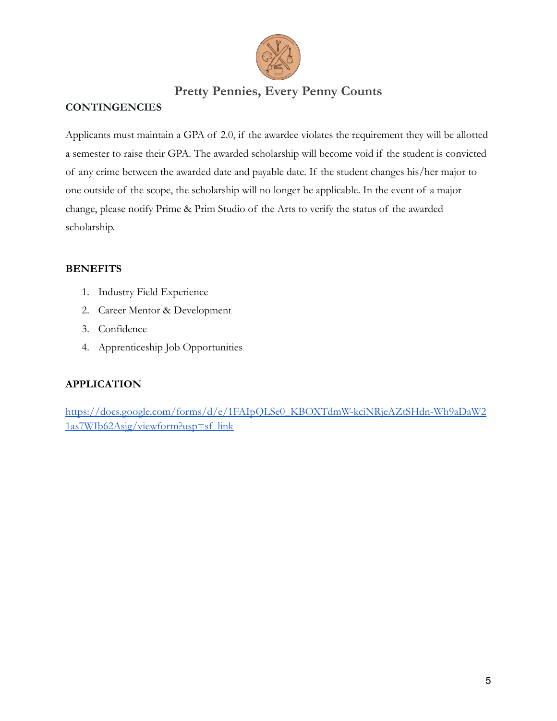

### **CONTINGENCIES**

Applicants must maintain a GPA of 2.0, if the awardee violates the requirement they will be allotted a semester to raise their GPA. The awarded scholarship will become void if the student is convicted of any crime between the awarded date and payable date. If the student changes his/her major to one outside of the scope, the scholarship will no longer be applicable. In the event of a major change, please notify Prime & Prim Studio of the Arts to verify the status of the awarded scholarship.

### **BENEFITS**

- 1. Industry Field Experience
- 2. Career Mentor & Development
- 3. Confidence
- 4. Apprenticeship Job Opportunities

### **APPLICATION**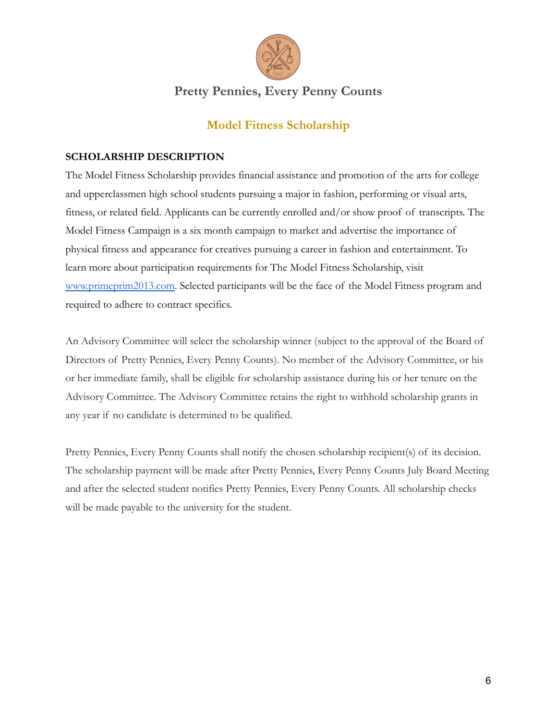

## **Model Fitness Scholarship**

### **SCHOLARSHIP DESCRIPTION**

The Model Fitness Scholarship provides financial assistance and promotion of the arts for college and upperclassmen high school students pursuing a major in fashion, performing or visual arts, fitness, or related field. Applicants can be currently enrolled and/or show proof of transcripts. The Model Fitness Campaign is a six month campaign to market and advertise the importance of physical fitness and appearance for creatives pursuing a career in fashion and entertainment. To learn more about participation requirements for The Model Fitness Scholarship, visit [www.primeprim2013.com](http://www.primeprim2013.com). Selected participants will be the face of the Model Fitness program and required to adhere to contract specifics.

An Advisory Committee will select the scholarship winner (subject to the approval of the Board of Directors of Pretty Pennies, Every Penny Counts). No member of the Advisory Committee, or his or her immediate family, shall be eligible for scholarship assistance during his or her tenure on the Advisory Committee. The Advisory Committee retains the right to withhold scholarship grants in any year if no candidate is determined to be qualified.

Pretty Pennies, Every Penny Counts shall notify the chosen scholarship recipient(s) of its decision. The scholarship payment will be made after Pretty Pennies, Every Penny Counts July Board Meeting and after the selected student notifies Pretty Pennies, Every Penny Counts. All scholarship checks will be made payable to the university for the student.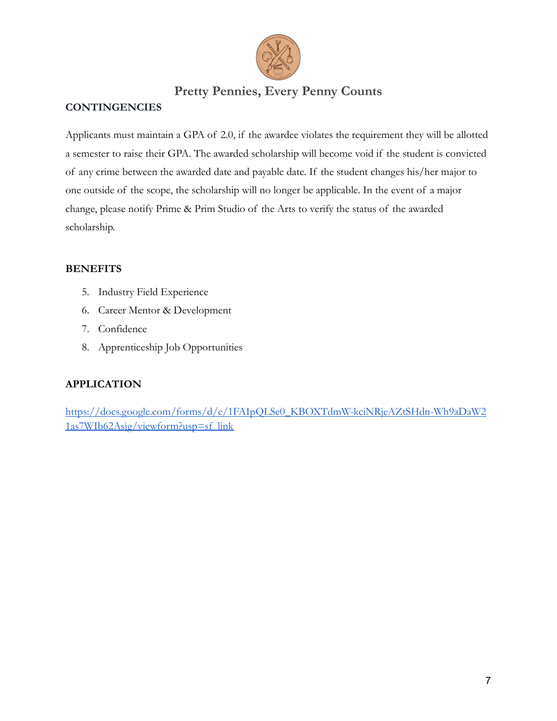

### **CONTINGENCIES**

Applicants must maintain a GPA of 2.0, if the awardee violates the requirement they will be allotted a semester to raise their GPA. The awarded scholarship will become void if the student is convicted of any crime between the awarded date and payable date. If the student changes his/her major to one outside of the scope, the scholarship will no longer be applicable. In the event of a major change, please notify Prime & Prim Studio of the Arts to verify the status of the awarded scholarship.

### **BENEFITS**

- 5. Industry Field Experience
- 6. Career Mentor & Development
- 7. Confidence
- 8. Apprenticeship Job Opportunities

### **APPLICATION**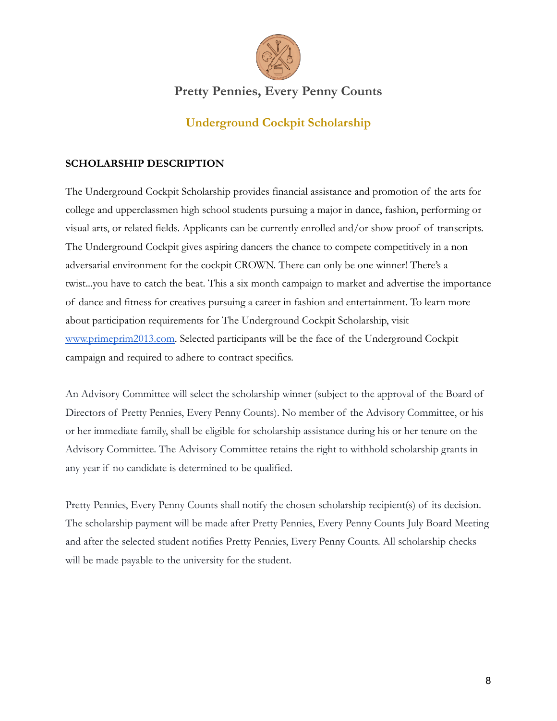

## **Underground Cockpit Scholarship**

### **SCHOLARSHIP DESCRIPTION**

The Underground Cockpit Scholarship provides financial assistance and promotion of the arts for college and upperclassmen high school students pursuing a major in dance, fashion, performing or visual arts, or related fields. Applicants can be currently enrolled and/or show proof of transcripts. The Underground Cockpit gives aspiring dancers the chance to compete competitively in a non adversarial environment for the cockpit CROWN. There can only be one winner! There's a twist...you have to catch the beat. This a six month campaign to market and advertise the importance of dance and fitness for creatives pursuing a career in fashion and entertainment. To learn more about participation requirements for The Underground Cockpit Scholarship, visit [www.primeprim2013.com](http://www.primeprim2013.com). Selected participants will be the face of the Underground Cockpit campaign and required to adhere to contract specifics.

An Advisory Committee will select the scholarship winner (subject to the approval of the Board of Directors of Pretty Pennies, Every Penny Counts). No member of the Advisory Committee, or his or her immediate family, shall be eligible for scholarship assistance during his or her tenure on the Advisory Committee. The Advisory Committee retains the right to withhold scholarship grants in any year if no candidate is determined to be qualified.

Pretty Pennies, Every Penny Counts shall notify the chosen scholarship recipient(s) of its decision. The scholarship payment will be made after Pretty Pennies, Every Penny Counts July Board Meeting and after the selected student notifies Pretty Pennies, Every Penny Counts. All scholarship checks will be made payable to the university for the student.